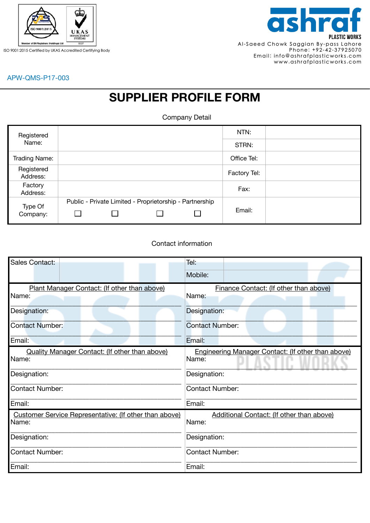

ISO 9001:2015 Certified by UKAS Accredited Certifying Body



## APW-QMS-P17-003

## **SUPPLIER PROFILE FORM**

Company Detail

| Registered<br>Name:    |                                                         | NTN:         |  |
|------------------------|---------------------------------------------------------|--------------|--|
|                        |                                                         | STRN:        |  |
| Trading Name:          |                                                         | Office Tel:  |  |
| Registered<br>Address: |                                                         | Factory Tel: |  |
| Factory<br>Address:    |                                                         | Fax:         |  |
| Type Of<br>Company:    | Public - Private Limited - Proprietorship - Partnership | Email:       |  |

## Contact information

| Sales Contact:                                                  | Tel:                                                        |  |  |
|-----------------------------------------------------------------|-------------------------------------------------------------|--|--|
|                                                                 | Mobile:                                                     |  |  |
| Plant Manager Contact: (If other than above)<br>Name:           | Finance Contact: (If other than above)<br>Name:             |  |  |
| Designation:                                                    | Designation:                                                |  |  |
| <b>Contact Number:</b>                                          | <b>Contact Number:</b>                                      |  |  |
| Email:                                                          | Email:                                                      |  |  |
| Quality Manager Contact: (If other than above)<br>Name:         | Engineering Manager Contact: (If other than above)<br>Name: |  |  |
| Designation:                                                    | Designation:                                                |  |  |
| <b>Contact Number:</b>                                          | <b>Contact Number:</b>                                      |  |  |
| Email:                                                          | Email:                                                      |  |  |
| Customer Service Representative: (If other than above)<br>Name: | Additional Contact: (If other than above)<br>Name:          |  |  |
| Designation:                                                    | Designation:                                                |  |  |
| <b>Contact Number:</b>                                          | <b>Contact Number:</b>                                      |  |  |
| Email:                                                          | Email:                                                      |  |  |